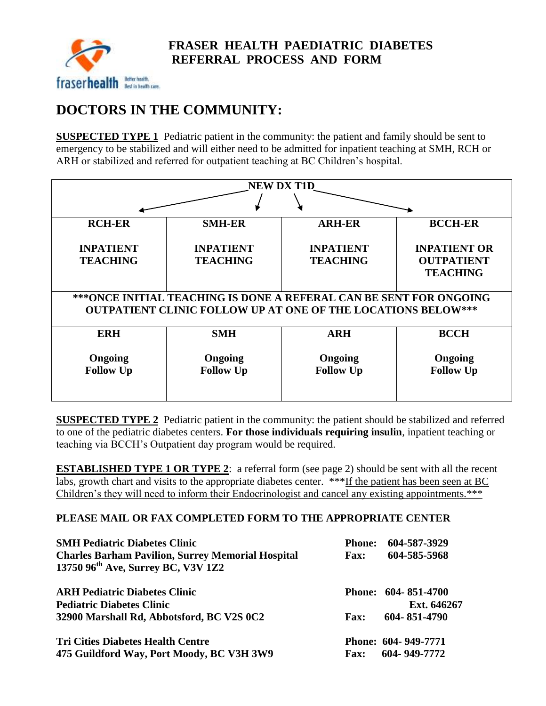

## **DOCTORS IN THE COMMUNITY:**

**SUSPECTED TYPE 1** Pediatric patient in the community: the patient and family should be sent to emergency to be stabilized and will either need to be admitted for inpatient teaching at SMH, RCH or ARH or stabilized and referred for outpatient teaching at BC Children's hospital.

| <b>NEW DX T1D</b>                                                                                                                         |                                     |                                     |                                                             |  |  |
|-------------------------------------------------------------------------------------------------------------------------------------------|-------------------------------------|-------------------------------------|-------------------------------------------------------------|--|--|
|                                                                                                                                           |                                     |                                     |                                                             |  |  |
| <b>RCH-ER</b>                                                                                                                             | <b>SMH-ER</b>                       | <b>ARH-ER</b>                       | <b>BCCH-ER</b>                                              |  |  |
| <b>INPATIENT</b><br><b>TEACHING</b>                                                                                                       | <b>INPATIENT</b><br><b>TEACHING</b> | <b>INPATIENT</b><br><b>TEACHING</b> | <b>INPATIENT OR</b><br><b>OUTPATIENT</b><br><b>TEACHING</b> |  |  |
| ***ONCE INITIAL TEACHING IS DONE A REFERAL CAN BE SENT FOR ONGOING<br><b>OUTPATIENT CLINIC FOLLOW UP AT ONE OF THE LOCATIONS BELOW***</b> |                                     |                                     |                                                             |  |  |
| <b>ERH</b>                                                                                                                                | <b>SMH</b>                          | <b>ARH</b>                          | <b>BCCH</b>                                                 |  |  |
| Ongoing<br><b>Follow Up</b>                                                                                                               | Ongoing<br><b>Follow Up</b>         | Ongoing<br><b>Follow Up</b>         | Ongoing<br><b>Follow Up</b>                                 |  |  |

**SUSPECTED TYPE 2** Pediatric patient in the community: the patient should be stabilized and referred to one of the pediatric diabetes centers. **For those individuals requiring insulin**, inpatient teaching or teaching via BCCH's Outpatient day program would be required.

**ESTABLISHED TYPE 1 OR TYPE 2:** a referral form (see page 2) should be sent with all the recent labs, growth chart and visits to the appropriate diabetes center. \*\*\*If the patient has been seen at BC Children's they will need to inform their Endocrinologist and cancel any existing appointments.\*\*\*

## **PLEASE MAIL OR FAX COMPLETED FORM TO THE APPROPRIATE CENTER**

| <b>SMH Pediatric Diabetes Clinic</b>                                                                       | <b>Phone:</b> | 604-587-3929        |
|------------------------------------------------------------------------------------------------------------|---------------|---------------------|
| <b>Charles Barham Pavilion, Surrey Memorial Hospital</b><br>13750 96 <sup>th</sup> Ave, Surrey BC, V3V 1Z2 | <b>Fax:</b>   | 604-585-5968        |
| <b>ARH Pediatric Diabetes Clinic</b>                                                                       |               | Phone: 604-851-4700 |
| <b>Pediatric Diabetes Clinic</b>                                                                           |               | Ext. 646267         |
| 32900 Marshall Rd, Abbotsford, BC V2S 0C2                                                                  | <b>Fax:</b>   | 604-851-4790        |
| <b>Tri Cities Diabetes Health Centre</b>                                                                   |               | Phone: 604-949-7771 |
| 475 Guildford Way, Port Moody, BC V3H 3W9                                                                  | <b>Fax:</b>   | 604-949-7772        |